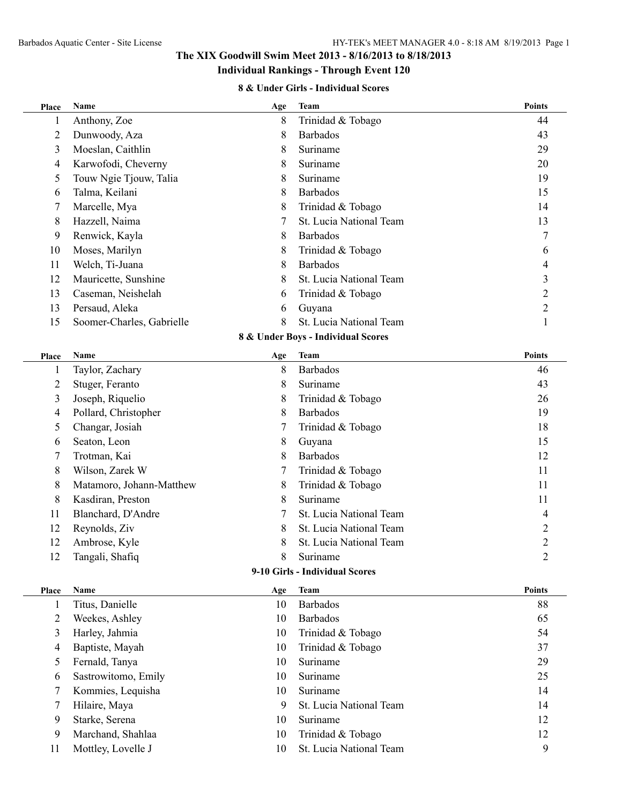## **The XIX Goodwill Swim Meet 2013 - 8/16/2013 to 8/18/2013**

## **Individual Rankings - Through Event 120**

#### **8 & Under Girls - Individual Scores**

| Place        | Name                      | Age | <b>Team</b>                        | <b>Points</b>  |
|--------------|---------------------------|-----|------------------------------------|----------------|
| $\mathbf{1}$ | Anthony, Zoe              | 8   | Trinidad & Tobago                  | 44             |
| 2            | Dunwoody, Aza             | 8   | <b>Barbados</b>                    | 43             |
| 3            | Moeslan, Caithlin         | 8   | Suriname                           | 29             |
| 4            | Karwofodi, Cheverny       | 8   | Suriname                           | 20             |
| 5            | Touw Ngie Tjouw, Talia    | 8   | Suriname                           | 19             |
| 6            | Talma, Keilani            | 8   | Barbados                           | 15             |
| 7            | Marcelle, Mya             | 8   | Trinidad & Tobago                  | 14             |
| 8            | Hazzell, Naima            | 7   | St. Lucia National Team            | 13             |
| 9            | Renwick, Kayla            | 8   | Barbados                           | 7              |
| 10           | Moses, Marilyn            | 8   | Trinidad & Tobago                  | 6              |
| 11           | Welch, Ti-Juana           | 8   | <b>Barbados</b>                    | 4              |
| 12           | Mauricette, Sunshine      | 8   | St. Lucia National Team            | $\mathfrak{Z}$ |
| 13           | Caseman, Neishelah        | 6   | Trinidad & Tobago                  | $\overline{2}$ |
| 13           | Persaud, Aleka            | 6   | Guyana                             | $\overline{2}$ |
| 15           | Soomer-Charles, Gabrielle | 8   | St. Lucia National Team            | $\mathbf{1}$   |
|              |                           |     | 8 & Under Boys - Individual Scores |                |
| Place        | Name                      | Age | <b>Team</b>                        | <b>Points</b>  |
| $\mathbf{1}$ | Taylor, Zachary           | 8   | Barbados                           | 46             |
| 2            | Stuger, Feranto           | 8   | Suriname                           | 43             |
| 3            | Joseph, Riquelio          | 8   | Trinidad & Tobago                  | 26             |
| 4            | Pollard, Christopher      | 8   | <b>Barbados</b>                    | 19             |
| 5            | Changar, Josiah           | 7   | Trinidad & Tobago                  | 18             |
| 6            | Seaton, Leon              | 8   | Guyana                             | 15             |
| 7            | Trotman, Kai              | 8   | <b>Barbados</b>                    | 12             |
| 8            | Wilson, Zarek W           | 7   | Trinidad & Tobago                  | 11             |
| 8            | Matamoro, Johann-Matthew  | 8   | Trinidad & Tobago                  | 11             |
| 8            | Kasdiran, Preston         | 8   | Suriname                           | 11             |
| 11           | Blanchard, D'Andre        | 7   | St. Lucia National Team            | 4              |
| 12           | Reynolds, Ziv             | 8   | St. Lucia National Team            | $\mathbf{2}$   |
| 12           | Ambrose, Kyle             | 8   | St. Lucia National Team            | $\overline{2}$ |
| 12           | Tangali, Shafiq           | 8   | Suriname                           | $\overline{c}$ |
|              |                           |     | 9-10 Girls - Individual Scores     |                |
| Place        | Name                      | Age | <b>Team</b>                        | <b>Points</b>  |
| 1            | Titus, Danielle           | 10  | <b>Barbados</b>                    | 88             |
| 2            | Weekes, Ashley            | 10  | <b>Barbados</b>                    | 65             |
| 3            | Harley, Jahmia            | 10  | Trinidad & Tobago                  | 54             |
| 4            | Baptiste, Mayah           | 10  | Trinidad & Tobago                  | 37             |
| 5            | Fernald, Tanya            | 10  | Suriname                           | 29             |
| 6            | Sastrowitomo, Emily       | 10  | Suriname                           | 25             |
| 7            | Kommies, Lequisha         | 10  | Suriname                           | 14             |
| 7            | Hilaire, Maya             | 9   | St. Lucia National Team            | 14             |
| 9            | Starke, Serena            | 10  | Suriname                           | 12             |
| 9            | Marchand, Shahlaa         | 10  | Trinidad & Tobago                  | 12             |
| 11           | Mottley, Lovelle J        | 10  | St. Lucia National Team            | 9              |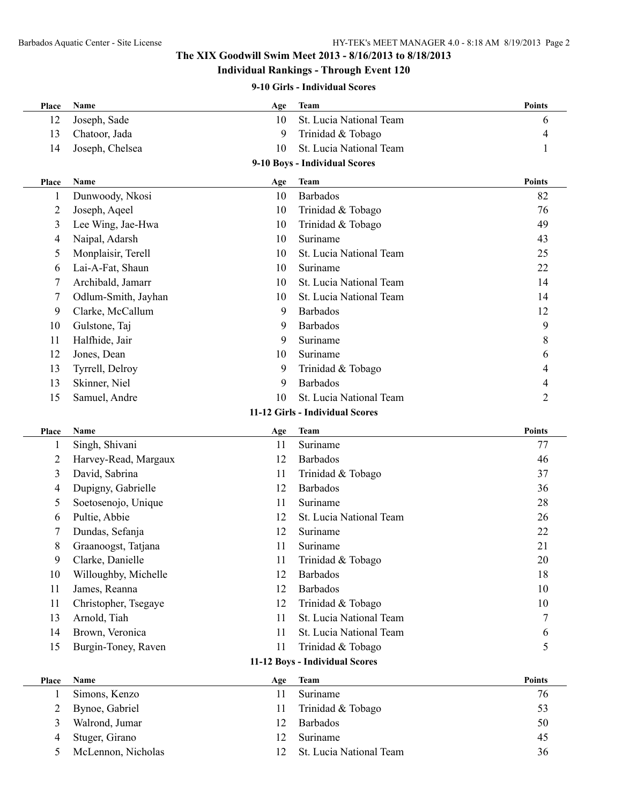### **The XIX Goodwill Swim Meet 2013 - 8/16/2013 to 8/18/2013**

### **Individual Rankings - Through Event 120**

#### **9-10 Girls - Individual Scores**

| Place        | Name                           | Age | <b>Team</b>                     | <b>Points</b> |  |  |  |
|--------------|--------------------------------|-----|---------------------------------|---------------|--|--|--|
| 12           | Joseph, Sade                   | 10  | St. Lucia National Team         | 6             |  |  |  |
| 13           | Chatoor, Jada                  | 9   | Trinidad & Tobago               | 4             |  |  |  |
| 14           | Joseph, Chelsea                | 10  | St. Lucia National Team         | 1             |  |  |  |
|              |                                |     | 9-10 Boys - Individual Scores   |               |  |  |  |
| Place        | Name                           | Age | <b>Team</b>                     | <b>Points</b> |  |  |  |
| $\mathbf{1}$ | Dunwoody, Nkosi                | 10  | <b>Barbados</b>                 | 82            |  |  |  |
| 2            | Joseph, Aqeel                  | 10  | Trinidad & Tobago               | 76            |  |  |  |
| 3            | Lee Wing, Jae-Hwa              | 10  | Trinidad & Tobago               | 49            |  |  |  |
| 4            | Naipal, Adarsh                 | 10  | Suriname                        | 43            |  |  |  |
| 5            | Monplaisir, Terell             | 10  | St. Lucia National Team         | 25            |  |  |  |
| 6            | Lai-A-Fat, Shaun               | 10  | Suriname                        | 22            |  |  |  |
| 7            | Archibald, Jamarr              | 10  | St. Lucia National Team         | 14            |  |  |  |
| 7            | Odlum-Smith, Jayhan            | 10  | St. Lucia National Team         | 14            |  |  |  |
| 9            | Clarke, McCallum               | 9   | <b>Barbados</b>                 | 12            |  |  |  |
| 10           | Gulstone, Taj                  | 9   | <b>Barbados</b>                 | 9             |  |  |  |
| 11           | Halfhide, Jair                 | 9   | Suriname                        | 8             |  |  |  |
| 12           | Jones, Dean                    | 10  | Suriname                        | 6             |  |  |  |
| 13           | Tyrrell, Delroy                | 9   | Trinidad & Tobago               | 4             |  |  |  |
| 13           | Skinner, Niel                  | 9   | <b>Barbados</b>                 | 4             |  |  |  |
| 15           | Samuel, Andre                  | 10  | St. Lucia National Team         | 2             |  |  |  |
|              |                                |     | 11-12 Girls - Individual Scores |               |  |  |  |
| Place        | Name                           | Age | <b>Team</b>                     | <b>Points</b> |  |  |  |
| 1            | Singh, Shivani                 | 11  | Suriname                        | 77            |  |  |  |
| 2            | Harvey-Read, Margaux           | 12  | <b>Barbados</b>                 | 46            |  |  |  |
| 3            | David, Sabrina                 | 11  | Trinidad & Tobago               | 37            |  |  |  |
| 4            | Dupigny, Gabrielle             | 12  | <b>Barbados</b>                 | 36            |  |  |  |
| 5            | Soetosenojo, Unique            | 11  | Suriname                        | 28            |  |  |  |
| 6            | Pultie, Abbie                  | 12  | St. Lucia National Team         | 26            |  |  |  |
| 7            | Dundas, Sefanja                | 12  | Suriname                        | 22            |  |  |  |
| 8            | Graanoogst, Tatjana            | 11  | Suriname                        | 21            |  |  |  |
| 9            | Clarke, Danielle               | 11  | Trinidad & Tobago               | 20            |  |  |  |
| 10           | Willoughby, Michelle           | 12  | <b>Barbados</b>                 | 18            |  |  |  |
| 11           | James, Reanna                  | 12  | <b>Barbados</b>                 | 10            |  |  |  |
| 11           | Christopher, Tsegaye           | 12  | Trinidad & Tobago               | 10            |  |  |  |
| 13           | Arnold, Tiah                   | 11  | St. Lucia National Team         | 7             |  |  |  |
| 14           | Brown, Veronica                | 11  | St. Lucia National Team         | 6             |  |  |  |
| 15           | Burgin-Toney, Raven            | 11  | Trinidad & Tobago               | 5             |  |  |  |
|              | 11-12 Boys - Individual Scores |     |                                 |               |  |  |  |
| Place        | Name                           | Age | <b>Team</b>                     | <b>Points</b> |  |  |  |
| $\mathbf{1}$ | Simons, Kenzo                  | 11  | Suriname                        | 76            |  |  |  |
| 2            | Bynoe, Gabriel                 | 11  | Trinidad & Tobago               | 53            |  |  |  |
| 3            | Walrond, Jumar                 | 12  | <b>Barbados</b>                 | 50            |  |  |  |
| 4            | Stuger, Girano                 | 12  | Suriname                        | 45            |  |  |  |
| 5            | McLennon, Nicholas             | 12  | St. Lucia National Team         | 36            |  |  |  |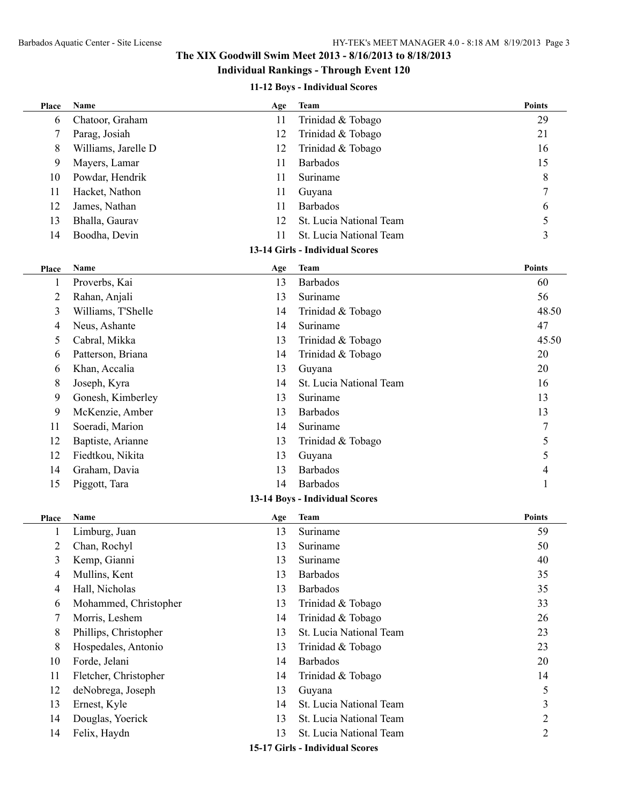## **The XIX Goodwill Swim Meet 2013 - 8/16/2013 to 8/18/2013**

## **Individual Rankings - Through Event 120**

#### **11-12 Boys - Individual Scores**

| Place                           | Name                  | Age | <b>Team</b>                     | <b>Points</b>    |  |
|---------------------------------|-----------------------|-----|---------------------------------|------------------|--|
| 6                               | Chatoor, Graham       | 11  | Trinidad & Tobago               | 29               |  |
| 7                               | Parag, Josiah         | 12  | Trinidad & Tobago               | 21               |  |
| 8                               | Williams, Jarelle D   | 12  | Trinidad & Tobago               | 16               |  |
| 9                               | Mayers, Lamar         | 11  | <b>Barbados</b>                 | 15               |  |
| 10                              | Powdar, Hendrik       | 11  | Suriname                        | 8                |  |
| 11                              | Hacket, Nathon        | 11  | Guyana                          | 7                |  |
| 12                              | James, Nathan         | 11  | <b>Barbados</b>                 | 6                |  |
| 13                              | Bhalla, Gaurav        | 12  | St. Lucia National Team         | 5                |  |
| 14                              | Boodha, Devin         | 11  | St. Lucia National Team         | 3                |  |
|                                 |                       |     | 13-14 Girls - Individual Scores |                  |  |
| Place                           | Name                  | Age | <b>Team</b>                     | <b>Points</b>    |  |
| 1                               | Proverbs, Kai         | 13  | Barbados                        | 60               |  |
| 2                               | Rahan, Anjali         | 13  | Suriname                        | 56               |  |
| 3                               | Williams, T'Shelle    | 14  | Trinidad & Tobago               | 48.50            |  |
| 4                               | Neus, Ashante         | 14  | Suriname                        | 47               |  |
| 5                               | Cabral, Mikka         | 13  | Trinidad & Tobago               | 45.50            |  |
| 6                               | Patterson, Briana     | 14  | Trinidad & Tobago               | 20               |  |
| 6                               | Khan, Accalia         | 13  | Guyana                          | 20               |  |
| 8                               | Joseph, Kyra          | 14  | St. Lucia National Team         | 16               |  |
| 9                               | Gonesh, Kimberley     | 13  | Suriname                        | 13               |  |
| 9                               | McKenzie, Amber       | 13  | <b>Barbados</b>                 | 13               |  |
| 11                              | Soeradi, Marion       | 14  | Suriname                        | $\boldsymbol{7}$ |  |
| 12                              | Baptiste, Arianne     | 13  | Trinidad & Tobago               | 5                |  |
| 12                              | Fiedtkou, Nikita      | 13  | Guyana                          | 5                |  |
| 14                              | Graham, Davia         | 13  | <b>Barbados</b>                 | 4                |  |
| 15                              | Piggott, Tara         | 14  | <b>Barbados</b>                 | 1                |  |
|                                 |                       |     | 13-14 Boys - Individual Scores  |                  |  |
| Place                           | Name                  | Age | <b>Team</b>                     | <b>Points</b>    |  |
|                                 | Limburg, Juan         | 13  | Suriname                        | 59               |  |
| 2                               | Chan, Rochyl          | 13  | Suriname                        | 50               |  |
| 3                               | Kemp, Gianni          | 13  | Suriname                        | 40               |  |
| 4                               | Mullins, Kent         | 13  | Barbados                        | 35               |  |
| 4                               | Hall, Nicholas        | 13  | Barbados                        | 35               |  |
| 6                               | Mohammed, Christopher | 13  | Trinidad & Tobago               | 33               |  |
| 7                               | Morris, Leshem        | 14  | Trinidad & Tobago               | 26               |  |
| 8                               | Phillips, Christopher | 13  | St. Lucia National Team         | 23               |  |
| 8                               | Hospedales, Antonio   | 13  | Trinidad & Tobago               | 23               |  |
| 10                              | Forde, Jelani         | 14  | Barbados                        | 20               |  |
| 11                              | Fletcher, Christopher | 14  | Trinidad & Tobago               | 14               |  |
| 12                              | deNobrega, Joseph     | 13  | Guyana                          | 5                |  |
| 13                              | Ernest, Kyle          | 14  | St. Lucia National Team         | 3                |  |
| 14                              | Douglas, Yoerick      | 13  | St. Lucia National Team         | $\overline{c}$   |  |
| 14                              | Felix, Haydn          | 13  | St. Lucia National Team         | $\overline{2}$   |  |
| 15-17 Girls - Individual Scores |                       |     |                                 |                  |  |